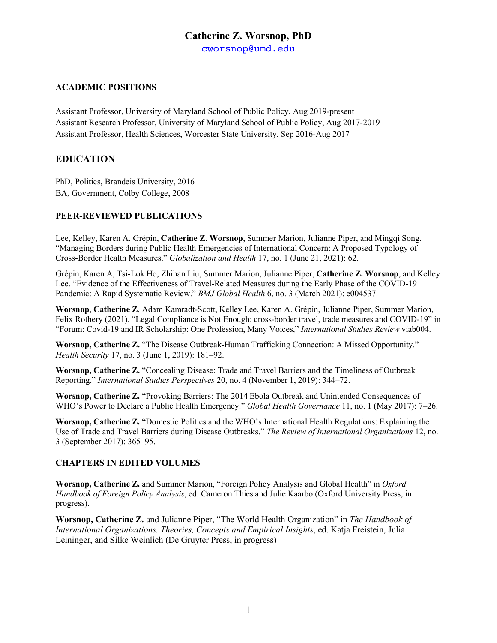# **Catherine Z. Worsnop, PhD**

cworsnop@umd.edu

# **ACADEMIC POSITIONS**

Assistant Professor, University of Maryland School of Public Policy, Aug 2019-present Assistant Research Professor, University of Maryland School of Public Policy, Aug 2017-2019 Assistant Professor, Health Sciences, Worcester State University, Sep 2016-Aug 2017

# **EDUCATION**

PhD, Politics, Brandeis University, 2016 BA*,* Government, Colby College, 2008

# **PEER-REVIEWED PUBLICATIONS**

Lee, Kelley, Karen A. Grépin, **Catherine Z. Worsnop**, Summer Marion, Julianne Piper, and Mingqi Song. "Managing Borders during Public Health Emergencies of International Concern: A Proposed Typology of Cross-Border Health Measures." *Globalization and Health* 17, no. 1 (June 21, 2021): 62.

Grépin, Karen A, Tsi-Lok Ho, Zhihan Liu, Summer Marion, Julianne Piper, **Catherine Z. Worsnop**, and Kelley Lee. "Evidence of the Effectiveness of Travel-Related Measures during the Early Phase of the COVID-19 Pandemic: A Rapid Systematic Review." *BMJ Global Health* 6, no. 3 (March 2021): e004537.

**Worsnop**, **Catherine Z**, Adam Kamradt-Scott, Kelley Lee, Karen A. Grépin, Julianne Piper, Summer Marion, Felix Rothery (2021). "Legal Compliance is Not Enough: cross-border travel, trade measures and COVID-19" in "Forum: Covid-19 and IR Scholarship: One Profession, Many Voices," *International Studies Review* viab004.

**Worsnop, Catherine Z.** "The Disease Outbreak-Human Trafficking Connection: A Missed Opportunity." *Health Security* 17, no. 3 (June 1, 2019): 181–92.

**Worsnop, Catherine Z.** "Concealing Disease: Trade and Travel Barriers and the Timeliness of Outbreak Reporting." *International Studies Perspectives* 20, no. 4 (November 1, 2019): 344–72.

**Worsnop, Catherine Z.** "Provoking Barriers: The 2014 Ebola Outbreak and Unintended Consequences of WHO's Power to Declare a Public Health Emergency." *Global Health Governance* 11, no. 1 (May 2017): 7–26.

**Worsnop, Catherine Z.** "Domestic Politics and the WHO's International Health Regulations: Explaining the Use of Trade and Travel Barriers during Disease Outbreaks." *The Review of International Organizations* 12, no. 3 (September 2017): 365–95.

## **CHAPTERS IN EDITED VOLUMES**

**Worsnop, Catherine Z.** and Summer Marion, "Foreign Policy Analysis and Global Health" in *Oxford Handbook of Foreign Policy Analysis*, ed. Cameron Thies and Julie Kaarbo (Oxford University Press, in progress).

**Worsnop, Catherine Z.** and Julianne Piper, "The World Health Organization" in *The Handbook of International Organizations. Theories, Concepts and Empirical Insights*, ed. Katja Freistein, Julia Leininger, and Silke Weinlich (De Gruyter Press, in progress)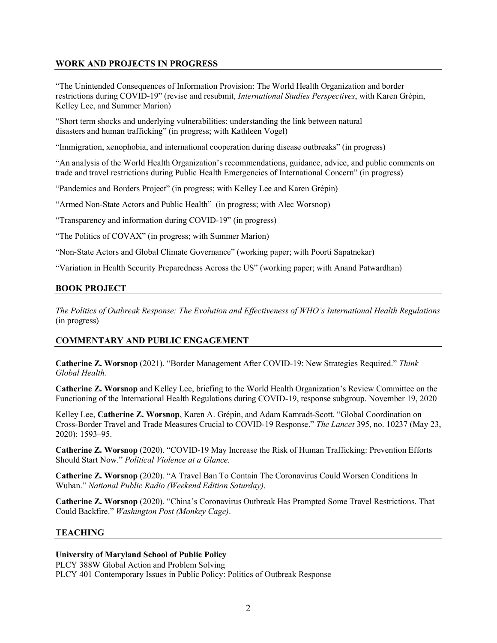## **WORK AND PROJECTS IN PROGRESS**

"The Unintended Consequences of Information Provision: The World Health Organization and border restrictions during COVID-19" (revise and resubmit, *International Studies Perspectives*, with Karen Grépin, Kelley Lee, and Summer Marion)

"Short term shocks and underlying vulnerabilities: understanding the link between natural disasters and human trafficking" (in progress; with Kathleen Vogel)

"Immigration, xenophobia, and international cooperation during disease outbreaks" (in progress)

"An analysis of the World Health Organization's recommendations, guidance, advice, and public comments on trade and travel restrictions during Public Health Emergencies of International Concern" (in progress)

"Pandemics and Borders Project" (in progress; with Kelley Lee and Karen Grépin)

"Armed Non-State Actors and Public Health" (in progress; with Alec Worsnop)

"Transparency and information during COVID-19" (in progress)

"The Politics of COVAX" (in progress; with Summer Marion)

"Non-State Actors and Global Climate Governance" (working paper; with Poorti Sapatnekar)

"Variation in Health Security Preparedness Across the US" (working paper; with Anand Patwardhan)

## **BOOK PROJECT**

*The Politics of Outbreak Response: The Evolution and Effectiveness of WHO's International Health Regulations* (in progress)

## **COMMENTARY AND PUBLIC ENGAGEMENT**

**Catherine Z. Worsnop** (2021). "Border Management After COVID-19: New Strategies Required." *Think Global Health.*

**Catherine Z. Worsnop** and Kelley Lee, briefing to the World Health Organization's Review Committee on the Functioning of the International Health Regulations during COVID-19, response subgroup. November 19, 2020

Kelley Lee, **Catherine Z. Worsnop**, Karen A. Grépin, and Adam Kamradt-Scott. "Global Coordination on Cross-Border Travel and Trade Measures Crucial to COVID-19 Response." *The Lancet* 395, no. 10237 (May 23, 2020): 1593–95.

**Catherine Z. Worsnop** (2020). "COVID-19 May Increase the Risk of Human Trafficking: Prevention Efforts Should Start Now." *Political Violence at a Glance.*

**Catherine Z. Worsnop** (2020). "A Travel Ban To Contain The Coronavirus Could Worsen Conditions In Wuhan." *National Public Radio (Weekend Edition Saturday)*.

**Catherine Z. Worsnop** (2020). "China's Coronavirus Outbreak Has Prompted Some Travel Restrictions. That Could Backfire." *Washington Post (Monkey Cage)*.

## **TEACHING**

#### **University of Maryland School of Public Policy**

PLCY 388W Global Action and Problem Solving PLCY 401 Contemporary Issues in Public Policy: Politics of Outbreak Response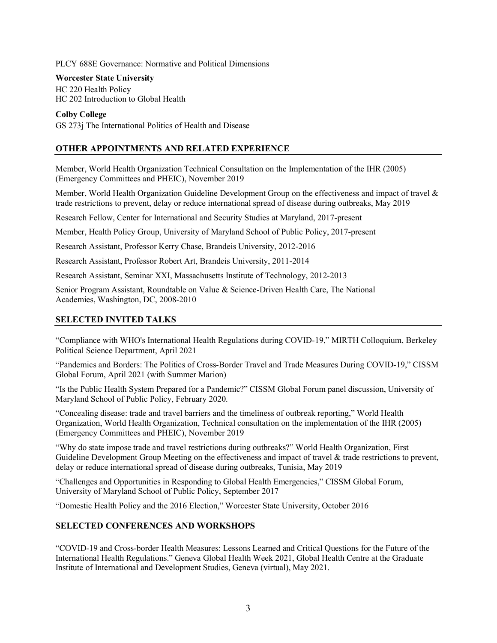PLCY 688E Governance: Normative and Political Dimensions

#### **Worcester State University**

HC 220 Health Policy HC 202 Introduction to Global Health

#### **Colby College**

GS 273j The International Politics of Health and Disease

## **OTHER APPOINTMENTS AND RELATED EXPERIENCE**

Member, World Health Organization Technical Consultation on the Implementation of the IHR (2005) (Emergency Committees and PHEIC), November 2019

Member, World Health Organization Guideline Development Group on the effectiveness and impact of travel & trade restrictions to prevent, delay or reduce international spread of disease during outbreaks, May 2019

Research Fellow, Center for International and Security Studies at Maryland, 2017-present

Member, Health Policy Group, University of Maryland School of Public Policy, 2017-present

Research Assistant, Professor Kerry Chase, Brandeis University, 2012-2016

Research Assistant, Professor Robert Art, Brandeis University, 2011-2014

Research Assistant, Seminar XXI, Massachusetts Institute of Technology, 2012-2013

Senior Program Assistant, Roundtable on Value & Science-Driven Health Care, The National Academies, Washington, DC, 2008-2010

## **SELECTED INVITED TALKS**

"Compliance with WHO's International Health Regulations during COVID-19," MIRTH Colloquium, Berkeley Political Science Department, April 2021

"Pandemics and Borders: The Politics of Cross-Border Travel and Trade Measures During COVID-19," CISSM Global Forum, April 2021 (with Summer Marion)

"Is the Public Health System Prepared for a Pandemic?" CISSM Global Forum panel discussion, University of Maryland School of Public Policy, February 2020.

"Concealing disease: trade and travel barriers and the timeliness of outbreak reporting," World Health Organization, World Health Organization, Technical consultation on the implementation of the IHR (2005) (Emergency Committees and PHEIC), November 2019

"Why do state impose trade and travel restrictions during outbreaks?" World Health Organization, First Guideline Development Group Meeting on the effectiveness and impact of travel & trade restrictions to prevent, delay or reduce international spread of disease during outbreaks, Tunisia, May 2019

"Challenges and Opportunities in Responding to Global Health Emergencies," CISSM Global Forum, University of Maryland School of Public Policy, September 2017

"Domestic Health Policy and the 2016 Election," Worcester State University, October 2016

# **SELECTED CONFERENCES AND WORKSHOPS**

"COVID-19 and Cross-border Health Measures: Lessons Learned and Critical Questions for the Future of the International Health Regulations." Geneva Global Health Week 2021, Global Health Centre at the Graduate Institute of International and Development Studies, Geneva (virtual), May 2021.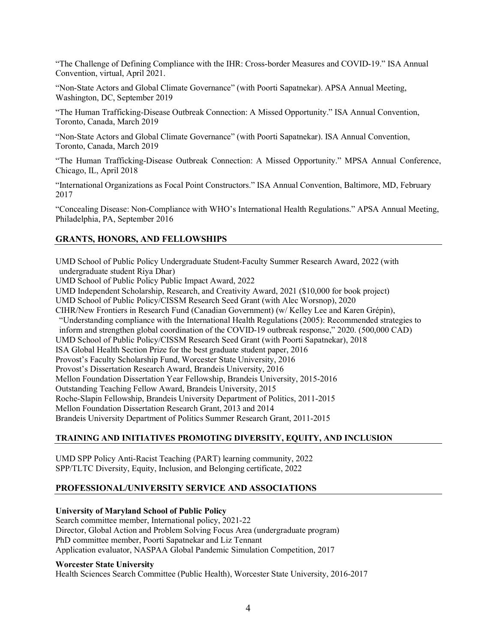"The Challenge of Defining Compliance with the IHR: Cross-border Measures and COVID-19." ISA Annual Convention, virtual, April 2021.

"Non-State Actors and Global Climate Governance" (with Poorti Sapatnekar). APSA Annual Meeting, Washington, DC, September 2019

"The Human Trafficking-Disease Outbreak Connection: A Missed Opportunity." ISA Annual Convention, Toronto, Canada, March 2019

"Non-State Actors and Global Climate Governance" (with Poorti Sapatnekar). ISA Annual Convention, Toronto, Canada, March 2019

"The Human Trafficking-Disease Outbreak Connection: A Missed Opportunity." MPSA Annual Conference, Chicago, IL, April 2018

"International Organizations as Focal Point Constructors." ISA Annual Convention, Baltimore, MD, February 2017

"Concealing Disease: Non-Compliance with WHO's International Health Regulations." APSA Annual Meeting, Philadelphia, PA, September 2016

# **GRANTS, HONORS, AND FELLOWSHIPS**

UMD School of Public Policy Undergraduate Student-Faculty Summer Research Award, 2022 (with undergraduate student Riya Dhar)

UMD School of Public Policy Public Impact Award, 2022

UMD Independent Scholarship, Research, and Creativity Award, 2021 (\$10,000 for book project)

UMD School of Public Policy/CISSM Research Seed Grant (with Alec Worsnop), 2020

CIHR/New Frontiers in Research Fund (Canadian Government) (w/ Kelley Lee and Karen Grépin),

"Understanding compliance with the International Health Regulations (2005): Recommended strategies to

inform and strengthen global coordination of the COVID-19 outbreak response," 2020. (500,000 CAD)

UMD School of Public Policy/CISSM Research Seed Grant (with Poorti Sapatnekar), 2018

ISA Global Health Section Prize for the best graduate student paper, 2016

Provost's Faculty Scholarship Fund, Worcester State University, 2016

Provost's Dissertation Research Award, Brandeis University, 2016

Mellon Foundation Dissertation Year Fellowship, Brandeis University, 2015-2016

Outstanding Teaching Fellow Award, Brandeis University, 2015

Roche-Slapin Fellowship, Brandeis University Department of Politics, 2011-2015

Mellon Foundation Dissertation Research Grant, 2013 and 2014

Brandeis University Department of Politics Summer Research Grant, 2011-2015

## **TRAINING AND INITIATIVES PROMOTING DIVERSITY, EQUITY, AND INCLUSION**

UMD SPP Policy Anti-Racist Teaching (PART) learning community, 2022 SPP/TLTC Diversity, Equity, Inclusion, and Belonging certificate, 2022

## **PROFESSIONAL/UNIVERSITY SERVICE AND ASSOCIATIONS**

## **University of Maryland School of Public Policy**

Search committee member, International policy, 2021-22 Director, Global Action and Problem Solving Focus Area (undergraduate program) PhD committee member, Poorti Sapatnekar and Liz Tennant Application evaluator, NASPAA Global Pandemic Simulation Competition, 2017

#### **Worcester State University**

Health Sciences Search Committee (Public Health), Worcester State University, 2016-2017